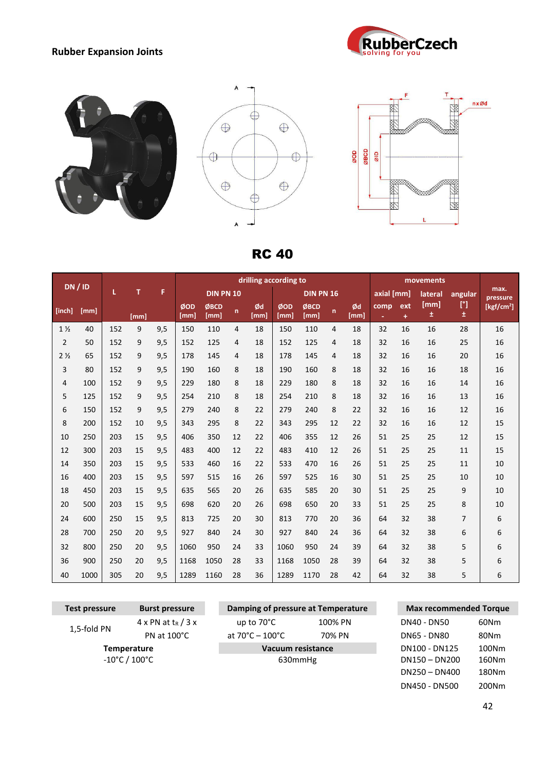## **Rubber Expansion Joints**









RC 40

| DN/ID          |      |     |      |     | drilling according to |                  |    |            |             |                  | movements |            |            |          |           |           |                  |
|----------------|------|-----|------|-----|-----------------------|------------------|----|------------|-------------|------------------|-----------|------------|------------|----------|-----------|-----------|------------------|
|                |      | L   | т    | F   |                       | <b>DIN PN 10</b> |    |            |             | <b>DIN PN 16</b> |           |            | axial [mm] |          | lateral   | angular   | max.<br>pressure |
| [inch]         | [mm] |     | [mm] |     | ØOD<br>[mm]           | ØBCD<br>[mm]     | n  | Ød<br>[mm] | ØOD<br>[mm] | ØBCD<br>[mm]     | n         | Ød<br>[mm] | comp<br>٠  | ext<br>÷ | [mm]<br>土 | [°]<br>±. | [ $kgf/cm2$ ]    |
| $1\frac{1}{2}$ | 40   | 152 | 9    | 9,5 | 150                   | 110              | 4  | 18         | 150         | 110              | 4         | 18         | 32         | 16       | 16        | 28        | 16               |
| $\overline{2}$ | 50   | 152 | 9    | 9,5 | 152                   | 125              | 4  | 18         | 152         | 125              | 4         | 18         | 32         | 16       | 16        | 25        | 16               |
| 2 <sub>2</sub> | 65   | 152 | 9    | 9,5 | 178                   | 145              | 4  | 18         | 178         | 145              | 4         | 18         | 32         | 16       | 16        | 20        | 16               |
| 3              | 80   | 152 | 9    | 9,5 | 190                   | 160              | 8  | 18         | 190         | 160              | 8         | 18         | 32         | 16       | 16        | 18        | 16               |
| 4              | 100  | 152 | 9    | 9,5 | 229                   | 180              | 8  | 18         | 229         | 180              | 8         | 18         | 32         | 16       | 16        | 14        | 16               |
| 5              | 125  | 152 | 9    | 9,5 | 254                   | 210              | 8  | 18         | 254         | 210              | 8         | 18         | 32         | 16       | 16        | 13        | 16               |
| 6              | 150  | 152 | 9    | 9,5 | 279                   | 240              | 8  | 22         | 279         | 240              | 8         | 22         | 32         | 16       | 16        | 12        | 16               |
| 8              | 200  | 152 | 10   | 9,5 | 343                   | 295              | 8  | 22         | 343         | 295              | 12        | 22         | 32         | 16       | 16        | 12        | 15               |
| 10             | 250  | 203 | 15   | 9,5 | 406                   | 350              | 12 | 22         | 406         | 355              | 12        | 26         | 51         | 25       | 25        | 12        | 15               |
| 12             | 300  | 203 | 15   | 9,5 | 483                   | 400              | 12 | 22         | 483         | 410              | 12        | 26         | 51         | 25       | 25        | 11        | 15               |
| 14             | 350  | 203 | 15   | 9,5 | 533                   | 460              | 16 | 22         | 533         | 470              | 16        | 26         | 51         | 25       | 25        | 11        | 10               |
| 16             | 400  | 203 | 15   | 9,5 | 597                   | 515              | 16 | 26         | 597         | 525              | 16        | 30         | 51         | 25       | 25        | 10        | 10               |
| 18             | 450  | 203 | 15   | 9,5 | 635                   | 565              | 20 | 26         | 635         | 585              | 20        | 30         | 51         | 25       | 25        | 9         | 10               |
| 20             | 500  | 203 | 15   | 9,5 | 698                   | 620              | 20 | 26         | 698         | 650              | 20        | 33         | 51         | 25       | 25        | 8         | 10               |
| 24             | 600  | 250 | 15   | 9,5 | 813                   | 725              | 20 | 30         | 813         | 770              | 20        | 36         | 64         | 32       | 38        | 7         | 6                |
| 28             | 700  | 250 | 20   | 9,5 | 927                   | 840              | 24 | 30         | 927         | 840              | 24        | 36         | 64         | 32       | 38        | 6         | 6                |
| 32             | 800  | 250 | 20   | 9,5 | 1060                  | 950              | 24 | 33         | 1060        | 950              | 24        | 39         | 64         | 32       | 38        | 5         | 6                |
| 36             | 900  | 250 | 20   | 9,5 | 1168                  | 1050             | 28 | 33         | 1168        | 1050             | 28        | 39         | 64         | 32       | 38        | 5         | 6                |
| 40             | 1000 | 305 | 20   | 9,5 | 1289                  | 1160             | 28 | 36         | 1289        | 1170             | 28        | 42         | 64         | 32       | 38        | 5         | 6                |

| Test pressure | <b>Burst pressure</b>             | Damping of pressure at Temperature  |         |             | <b>Max recommended Torque</b> |       |
|---------------|-----------------------------------|-------------------------------------|---------|-------------|-------------------------------|-------|
|               | $4 \times PN$ at $t_R$ / 3 x      | up to $70^{\circ}$ C                | 100% PN |             | DN40 - DN50                   |       |
| 1,5-fold PN   | PN at $100^{\circ}$ C             | at $70^{\circ}$ C – $100^{\circ}$ C | 70% PN  | DN65 - DN80 |                               | 80Nm  |
|               | <b>Temperature</b>                | Vacuum resistance                   |         |             | DN100 - DN125                 | 100Nm |
|               | $-10^{\circ}$ C / $100^{\circ}$ C | 630mmHg                             |         |             | $DN150 - DN200$               | 160Nm |
|               |                                   |                                     |         |             | $DN250 - DN400$               | 180Nm |
|               |                                   |                                     |         |             | DN450 - DN500                 | 200Nm |